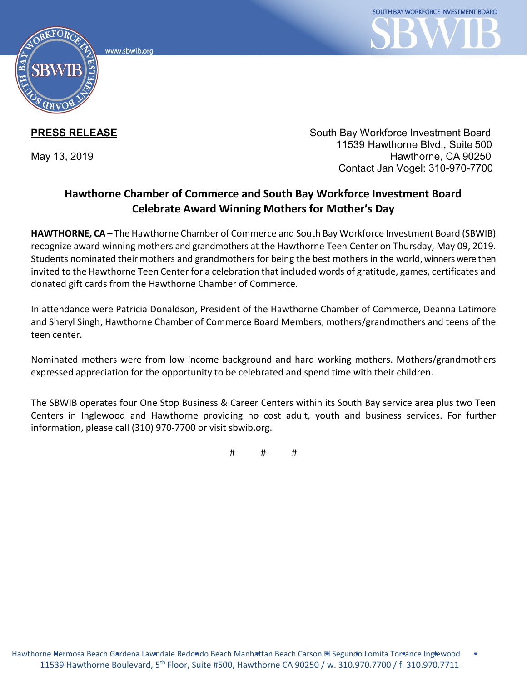www.sbwib.orc



**PRESS RELEASE** South Bay Workforce Investment Board 11539 Hawthorne Blvd., Suite 500 May 13, 2019 **Hawthorne, CA 90250** Contact Jan Vogel: 310-970-7700

## **Hawthorne Chamber of Commerce and South Bay Workforce Investment Board Celebrate Award Winning Mothers for Mother's Day**

**HAWTHORNE, CA –** The Hawthorne Chamber of Commerce and South Bay Workforce Investment Board (SBWIB) recognize award winning mothers and grandmothers at the Hawthorne Teen Center on Thursday, May 09, 2019. Students nominated their mothers and grandmothers for being the best mothers in the world, winners were then invited to the Hawthorne Teen Center for a celebration that included words of gratitude, games, certificates and donated gift cards from the Hawthorne Chamber of Commerce.

In attendance were Patricia Donaldson, President of the Hawthorne Chamber of Commerce, Deanna Latimore and Sheryl Singh, Hawthorne Chamber of Commerce Board Members, mothers/grandmothers and teens of the teen center.

Nominated mothers were from low income background and hard working mothers. Mothers/grandmothers expressed appreciation for the opportunity to be celebrated and spend time with their children.

The SBWIB operates four One Stop Business & Career Centers within its South Bay service area plus two Teen Centers in Inglewood and Hawthorne providing no cost adult, youth and business services. For further information, please call (310) 970-7700 or visit sbwib.org.

# # #